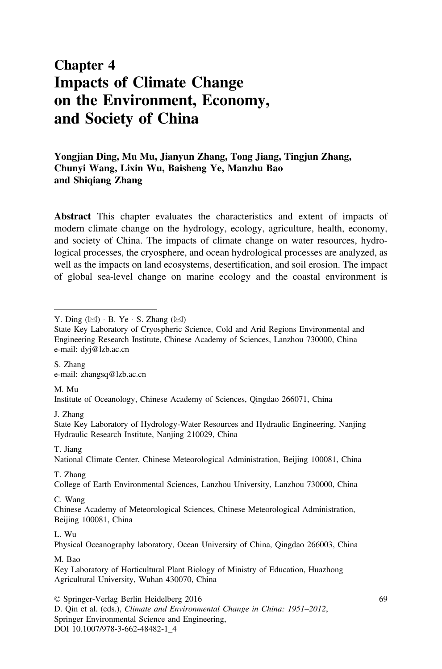# Chapter 4 Impacts of Climate Change on the Environment, Economy, and Society of China

Yongjian Ding, Mu Mu, Jianyun Zhang, Tong Jiang, Tingjun Zhang, Chunyi Wang, Lixin Wu, Baisheng Ye, Manzhu Bao and Shiqiang Zhang

Abstract This chapter evaluates the characteristics and extent of impacts of modern climate change on the hydrology, ecology, agriculture, health, economy, and society of China. The impacts of climate change on water resources, hydrological processes, the cryosphere, and ocean hydrological processes are analyzed, as well as the impacts on land ecosystems, desertification, and soil erosion. The impact of global sea-level change on marine ecology and the coastal environment is

S. Zhang e-mail: zhangsq@lzb.ac.cn

#### M. Mu

Institute of Oceanology, Chinese Academy of Sciences, Qingdao 266071, China

#### J. Zhang

State Key Laboratory of Hydrology-Water Resources and Hydraulic Engineering, Nanjing Hydraulic Research Institute, Nanjing 210029, China

#### T. Jiang

National Climate Center, Chinese Meteorological Administration, Beijing 100081, China

#### T. Zhang

College of Earth Environmental Sciences, Lanzhou University, Lanzhou 730000, China

C. Wang

Chinese Academy of Meteorological Sciences, Chinese Meteorological Administration, Beijing 100081, China

L. Wu

Physical Oceanography laboratory, Ocean University of China, Qingdao 266003, China

M. Bao

Key Laboratory of Horticultural Plant Biology of Ministry of Education, Huazhong Agricultural University, Wuhan 430070, China

© Springer-Verlag Berlin Heidelberg 2016

69

Y. Ding  $(\boxtimes) \cdot$  B. Ye  $\cdot$  S. Zhang  $(\boxtimes)$ 

State Key Laboratory of Cryospheric Science, Cold and Arid Regions Environmental and Engineering Research Institute, Chinese Academy of Sciences, Lanzhou 730000, China e-mail: dyj@lzb.ac.cn

D. Qin et al. (eds.), Climate and Environmental Change in China: 1951–2012, Springer Environmental Science and Engineering, DOI 10.1007/978-3-662-48482-1\_4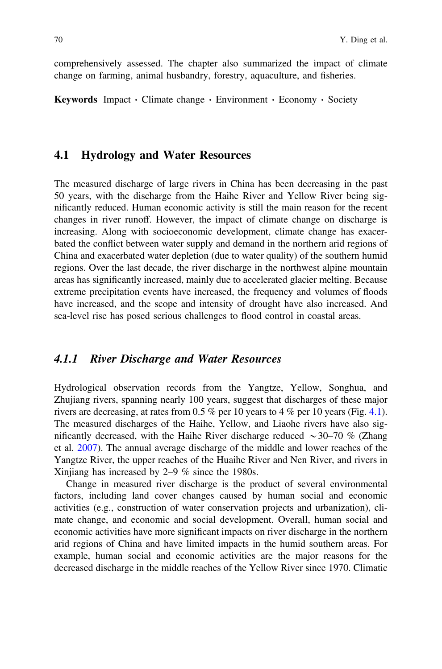comprehensively assessed. The chapter also summarized the impact of climate change on farming, animal husbandry, forestry, aquaculture, and fisheries.

**Keywords** Impact  $\cdot$  Climate change  $\cdot$  Environment  $\cdot$  Economy  $\cdot$  Society

### 4.1 Hydrology and Water Resources

The measured discharge of large rivers in China has been decreasing in the past 50 years, with the discharge from the Haihe River and Yellow River being significantly reduced. Human economic activity is still the main reason for the recent changes in river runoff. However, the impact of climate change on discharge is increasing. Along with socioeconomic development, climate change has exacerbated the conflict between water supply and demand in the northern arid regions of China and exacerbated water depletion (due to water quality) of the southern humid regions. Over the last decade, the river discharge in the northwest alpine mountain areas has significantly increased, mainly due to accelerated glacier melting. Because extreme precipitation events have increased, the frequency and volumes of floods have increased, and the scope and intensity of drought have also increased. And sea-level rise has posed serious challenges to flood control in coastal areas.

# 4.1.1 River Discharge and Water Resources

Hydrological observation records from the Yangtze, Yellow, Songhua, and Zhujiang rivers, spanning nearly 100 years, suggest that discharges of these major rivers are decreasing, at rates from  $0.5\%$  per 10 years to 4 % per 10 years (Fig. [4.1\)](#page-2-0). The measured discharges of the Haihe, Yellow, and Liaohe rivers have also significantly decreased, with the Haihe River discharge reduced  $\sim$  30–70 % (Zhang et al. [2007\)](#page-23-0). The annual average discharge of the middle and lower reaches of the Yangtze River, the upper reaches of the Huaihe River and Nen River, and rivers in Xinjiang has increased by 2–9 % since the 1980s.

Change in measured river discharge is the product of several environmental factors, including land cover changes caused by human social and economic activities (e.g., construction of water conservation projects and urbanization), climate change, and economic and social development. Overall, human social and economic activities have more significant impacts on river discharge in the northern arid regions of China and have limited impacts in the humid southern areas. For example, human social and economic activities are the major reasons for the decreased discharge in the middle reaches of the Yellow River since 1970. Climatic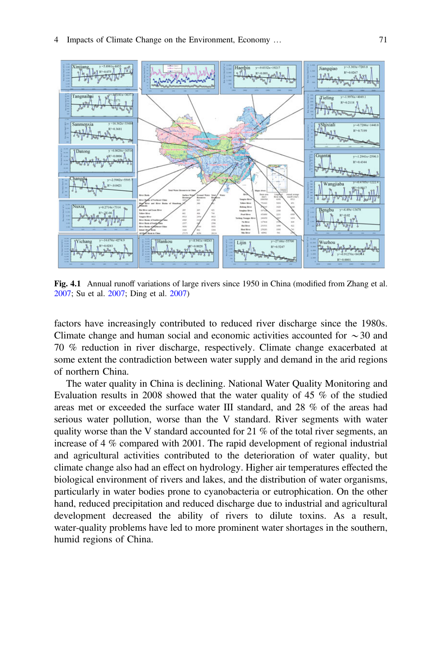#### <span id="page-2-0"></span>4 Impacts of Climate Change on the Environment, Economy … 71



Fig. 4.1 Annual runoff variations of large rivers since 1950 in China (modified from Zhang et al. [2007;](#page-23-0) Su et al. [2007](#page-23-0); Ding et al. [2007\)](#page-22-0)

factors have increasingly contributed to reduced river discharge since the 1980s. Climate change and human social and economic activities accounted for  $\sim$  30 and 70 % reduction in river discharge, respectively. Climate change exacerbated at some extent the contradiction between water supply and demand in the arid regions of northern China.

The water quality in China is declining. National Water Quality Monitoring and Evaluation results in 2008 showed that the water quality of 45 % of the studied areas met or exceeded the surface water III standard, and 28 % of the areas had serious water pollution, worse than the V standard. River segments with water quality worse than the V standard accounted for 21 % of the total river segments, an increase of 4 % compared with 2001. The rapid development of regional industrial and agricultural activities contributed to the deterioration of water quality, but climate change also had an effect on hydrology. Higher air temperatures effected the biological environment of rivers and lakes, and the distribution of water organisms, particularly in water bodies prone to cyanobacteria or eutrophication. On the other hand, reduced precipitation and reduced discharge due to industrial and agricultural development decreased the ability of rivers to dilute toxins. As a result, water-quality problems have led to more prominent water shortages in the southern, humid regions of China.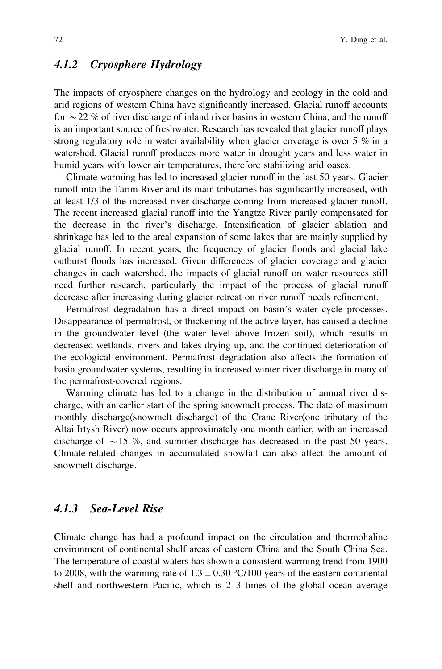# 4.1.2 Cryosphere Hydrology

The impacts of cryosphere changes on the hydrology and ecology in the cold and arid regions of western China have significantly increased. Glacial runoff accounts for  $\sim$  22 % of river discharge of inland river basins in western China, and the runoff is an important source of freshwater. Research has revealed that glacier runoff plays strong regulatory role in water availability when glacier coverage is over 5 % in a watershed. Glacial runoff produces more water in drought years and less water in humid years with lower air temperatures, therefore stabilizing arid oases.

Climate warming has led to increased glacier runoff in the last 50 years. Glacier runoff into the Tarim River and its main tributaries has significantly increased, with at least 1/3 of the increased river discharge coming from increased glacier runoff. The recent increased glacial runoff into the Yangtze River partly compensated for the decrease in the river's discharge. Intensification of glacier ablation and shrinkage has led to the areal expansion of some lakes that are mainly supplied by glacial runoff. In recent years, the frequency of glacier floods and glacial lake outburst floods has increased. Given differences of glacier coverage and glacier changes in each watershed, the impacts of glacial runoff on water resources still need further research, particularly the impact of the process of glacial runoff decrease after increasing during glacier retreat on river runoff needs refinement.

Permafrost degradation has a direct impact on basin's water cycle processes. Disappearance of permafrost, or thickening of the active layer, has caused a decline in the groundwater level (the water level above frozen soil), which results in decreased wetlands, rivers and lakes drying up, and the continued deterioration of the ecological environment. Permafrost degradation also affects the formation of basin groundwater systems, resulting in increased winter river discharge in many of the permafrost-covered regions.

Warming climate has led to a change in the distribution of annual river discharge, with an earlier start of the spring snowmelt process. The date of maximum monthly discharge(snowmelt discharge) of the Crane River(one tributary of the Altai Irtysh River) now occurs approximately one month earlier, with an increased discharge of  $\sim$  15 %, and summer discharge has decreased in the past 50 years. Climate-related changes in accumulated snowfall can also affect the amount of snowmelt discharge.

# 4.1.3 Sea-Level Rise

Climate change has had a profound impact on the circulation and thermohaline environment of continental shelf areas of eastern China and the South China Sea. The temperature of coastal waters has shown a consistent warming trend from 1900 to 2008, with the warming rate of  $1.3 \pm 0.30$  °C/100 years of the eastern continental shelf and northwestern Pacific, which is 2–3 times of the global ocean average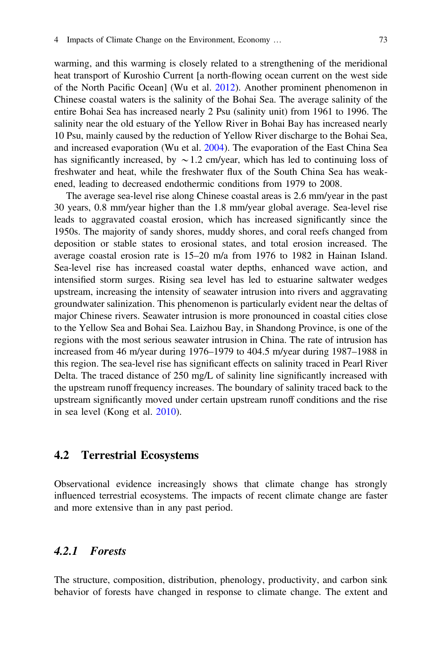warming, and this warming is closely related to a strengthening of the meridional heat transport of Kuroshio Current [a north-flowing ocean current on the west side of the North Pacific Ocean] (Wu et al. [2012\)](#page-23-0). Another prominent phenomenon in Chinese coastal waters is the salinity of the Bohai Sea. The average salinity of the entire Bohai Sea has increased nearly 2 Psu (salinity unit) from 1961 to 1996. The salinity near the old estuary of the Yellow River in Bohai Bay has increased nearly 10 Psu, mainly caused by the reduction of Yellow River discharge to the Bohai Sea, and increased evaporation (Wu et al. [2004](#page-23-0)). The evaporation of the East China Sea has significantly increased, by  $\sim$  1.2 cm/year, which has led to continuing loss of freshwater and heat, while the freshwater flux of the South China Sea has weakened, leading to decreased endothermic conditions from 1979 to 2008.

The average sea-level rise along Chinese coastal areas is 2.6 mm/year in the past 30 years, 0.8 mm/year higher than the 1.8 mm/year global average. Sea-level rise leads to aggravated coastal erosion, which has increased significantly since the 1950s. The majority of sandy shores, muddy shores, and coral reefs changed from deposition or stable states to erosional states, and total erosion increased. The average coastal erosion rate is 15–20 m/a from 1976 to 1982 in Hainan Island. Sea-level rise has increased coastal water depths, enhanced wave action, and intensified storm surges. Rising sea level has led to estuarine saltwater wedges upstream, increasing the intensity of seawater intrusion into rivers and aggravating groundwater salinization. This phenomenon is particularly evident near the deltas of major Chinese rivers. Seawater intrusion is more pronounced in coastal cities close to the Yellow Sea and Bohai Sea. Laizhou Bay, in Shandong Province, is one of the regions with the most serious seawater intrusion in China. The rate of intrusion has increased from 46 m/year during 1976–1979 to 404.5 m/year during 1987–1988 in this region. The sea-level rise has significant effects on salinity traced in Pearl River Delta. The traced distance of 250 mg/L of salinity line significantly increased with the upstream runoff frequency increases. The boundary of salinity traced back to the upstream significantly moved under certain upstream runoff conditions and the rise in sea level (Kong et al. [2010](#page-22-0)).

# 4.2 Terrestrial Ecosystems

Observational evidence increasingly shows that climate change has strongly influenced terrestrial ecosystems. The impacts of recent climate change are faster and more extensive than in any past period.

# 4.2.1 Forests

The structure, composition, distribution, phenology, productivity, and carbon sink behavior of forests have changed in response to climate change. The extent and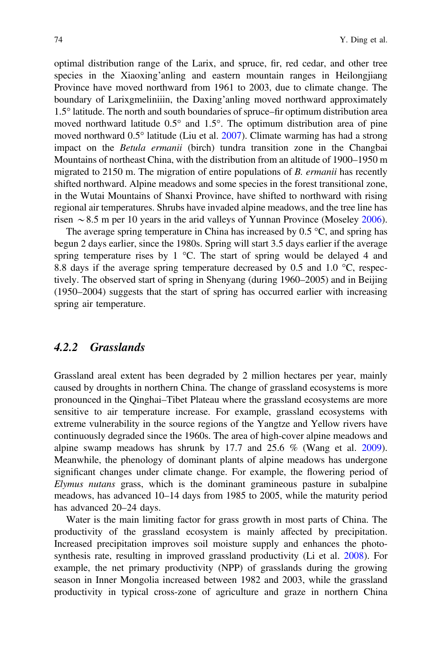optimal distribution range of the Larix, and spruce, fir, red cedar, and other tree species in the Xiaoxing'anling and eastern mountain ranges in Heilongjiang Province have moved northward from 1961 to 2003, due to climate change. The boundary of Larixgmeliniiin, the Daxing'anling moved northward approximately 1.5° latitude. The north and south boundaries of spruce–fir optimum distribution area moved northward latitude 0.5° and 1.5°. The optimum distribution area of pine moved northward 0.5° latitude (Liu et al. [2007](#page-23-0)). Climate warming has had a strong impact on the Betula ermanii (birch) tundra transition zone in the Changbai Mountains of northeast China, with the distribution from an altitude of 1900–1950 m migrated to 2150 m. The migration of entire populations of B. ermanii has recently shifted northward. Alpine meadows and some species in the forest transitional zone, in the Wutai Mountains of Shanxi Province, have shifted to northward with rising regional air temperatures. Shrubs have invaded alpine meadows, and the tree line has risen  $\sim$  8.5 m per 10 years in the arid valleys of Yunnan Province (Moseley [2006\)](#page-23-0).

The average spring temperature in China has increased by  $0.5 \degree C$ , and spring has begun 2 days earlier, since the 1980s. Spring will start 3.5 days earlier if the average spring temperature rises by  $1 \degree C$ . The start of spring would be delayed 4 and 8.8 days if the average spring temperature decreased by 0.5 and 1.0 °C, respectively. The observed start of spring in Shenyang (during 1960–2005) and in Beijing (1950–2004) suggests that the start of spring has occurred earlier with increasing spring air temperature.

# 4.2.2 Grasslands

Grassland areal extent has been degraded by 2 million hectares per year, mainly caused by droughts in northern China. The change of grassland ecosystems is more pronounced in the Qinghai–Tibet Plateau where the grassland ecosystems are more sensitive to air temperature increase. For example, grassland ecosystems with extreme vulnerability in the source regions of the Yangtze and Yellow rivers have continuously degraded since the 1960s. The area of high-cover alpine meadows and alpine swamp meadows has shrunk by 17.7 and 25.6  $\%$  (Wang et al. [2009\)](#page-23-0). Meanwhile, the phenology of dominant plants of alpine meadows has undergone significant changes under climate change. For example, the flowering period of Elymus nutans grass, which is the dominant gramineous pasture in subalpine meadows, has advanced 10–14 days from 1985 to 2005, while the maturity period has advanced 20–24 days.

Water is the main limiting factor for grass growth in most parts of China. The productivity of the grassland ecosystem is mainly affected by precipitation. Increased precipitation improves soil moisture supply and enhances the photosynthesis rate, resulting in improved grassland productivity (Li et al. [2008](#page-23-0)). For example, the net primary productivity (NPP) of grasslands during the growing season in Inner Mongolia increased between 1982 and 2003, while the grassland productivity in typical cross-zone of agriculture and graze in northern China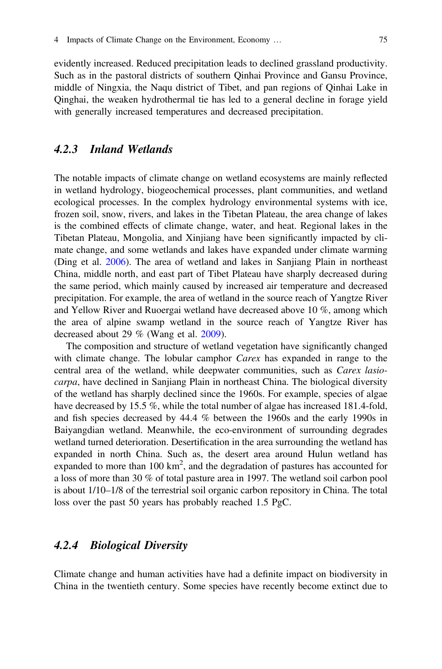evidently increased. Reduced precipitation leads to declined grassland productivity. Such as in the pastoral districts of southern Qinhai Province and Gansu Province, middle of Ningxia, the Naqu district of Tibet, and pan regions of Qinhai Lake in Qinghai, the weaken hydrothermal tie has led to a general decline in forage yield with generally increased temperatures and decreased precipitation.

### 4.2.3 Inland Wetlands

The notable impacts of climate change on wetland ecosystems are mainly reflected in wetland hydrology, biogeochemical processes, plant communities, and wetland ecological processes. In the complex hydrology environmental systems with ice, frozen soil, snow, rivers, and lakes in the Tibetan Plateau, the area change of lakes is the combined effects of climate change, water, and heat. Regional lakes in the Tibetan Plateau, Mongolia, and Xinjiang have been significantly impacted by climate change, and some wetlands and lakes have expanded under climate warming (Ding et al. [2006](#page-22-0)). The area of wetland and lakes in Sanjiang Plain in northeast China, middle north, and east part of Tibet Plateau have sharply decreased during the same period, which mainly caused by increased air temperature and decreased precipitation. For example, the area of wetland in the source reach of Yangtze River and Yellow River and Ruoergai wetland have decreased above 10 %, among which the area of alpine swamp wetland in the source reach of Yangtze River has decreased about 29 % (Wang et al. [2009\)](#page-23-0).

The composition and structure of wetland vegetation have significantly changed with climate change. The lobular camphor *Carex* has expanded in range to the central area of the wetland, while deepwater communities, such as Carex lasiocarpa, have declined in Sanjiang Plain in northeast China. The biological diversity of the wetland has sharply declined since the 1960s. For example, species of algae have decreased by 15.5 %, while the total number of algae has increased 181.4-fold, and fish species decreased by 44.4 % between the 1960s and the early 1990s in Baiyangdian wetland. Meanwhile, the eco-environment of surrounding degrades wetland turned deterioration. Desertification in the area surrounding the wetland has expanded in north China. Such as, the desert area around Hulun wetland has expanded to more than  $100 \text{ km}^2$ , and the degradation of pastures has accounted for a loss of more than 30 % of total pasture area in 1997. The wetland soil carbon pool is about 1/10–1/8 of the terrestrial soil organic carbon repository in China. The total loss over the past 50 years has probably reached 1.5 PgC.

# 4.2.4 Biological Diversity

Climate change and human activities have had a definite impact on biodiversity in China in the twentieth century. Some species have recently become extinct due to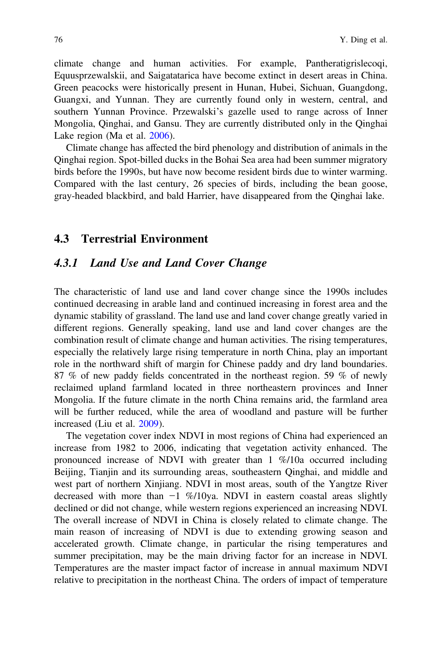climate change and human activities. For example, Pantheratigrislecoqi, Equusprzewalskii, and Saigatatarica have become extinct in desert areas in China. Green peacocks were historically present in Hunan, Hubei, Sichuan, Guangdong, Guangxi, and Yunnan. They are currently found only in western, central, and southern Yunnan Province. Przewalski's gazelle used to range across of Inner Mongolia, Qinghai, and Gansu. They are currently distributed only in the Qinghai Lake region (Ma et al. [2006](#page-23-0)).

Climate change has affected the bird phenology and distribution of animals in the Qinghai region. Spot-billed ducks in the Bohai Sea area had been summer migratory birds before the 1990s, but have now become resident birds due to winter warming. Compared with the last century, 26 species of birds, including the bean goose, gray-headed blackbird, and bald Harrier, have disappeared from the Qinghai lake.

#### 4.3 Terrestrial Environment

# 4.3.1 Land Use and Land Cover Change

The characteristic of land use and land cover change since the 1990s includes continued decreasing in arable land and continued increasing in forest area and the dynamic stability of grassland. The land use and land cover change greatly varied in different regions. Generally speaking, land use and land cover changes are the combination result of climate change and human activities. The rising temperatures, especially the relatively large rising temperature in north China, play an important role in the northward shift of margin for Chinese paddy and dry land boundaries. 87 % of new paddy fields concentrated in the northeast region. 59 % of newly reclaimed upland farmland located in three northeastern provinces and Inner Mongolia. If the future climate in the north China remains arid, the farmland area will be further reduced, while the area of woodland and pasture will be further increased (Liu et al. [2009\)](#page-23-0).

The vegetation cover index NDVI in most regions of China had experienced an increase from 1982 to 2006, indicating that vegetation activity enhanced. The pronounced increase of NDVI with greater than 1 %/10a occurred including Beijing, Tianjin and its surrounding areas, southeastern Qinghai, and middle and west part of northern Xinjiang. NDVI in most areas, south of the Yangtze River decreased with more than  $-1$  %/10ya. NDVI in eastern coastal areas slightly declined or did not change, while western regions experienced an increasing NDVI. The overall increase of NDVI in China is closely related to climate change. The main reason of increasing of NDVI is due to extending growing season and accelerated growth. Climate change, in particular the rising temperatures and summer precipitation, may be the main driving factor for an increase in NDVI. Temperatures are the master impact factor of increase in annual maximum NDVI relative to precipitation in the northeast China. The orders of impact of temperature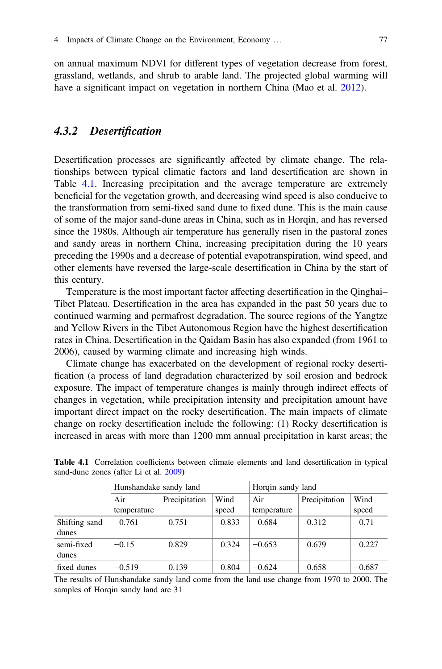on annual maximum NDVI for different types of vegetation decrease from forest, grassland, wetlands, and shrub to arable land. The projected global warming will have a significant impact on vegetation in northern China (Mao et al. [2012\)](#page-23-0).

# 4.3.2 Desertification

Desertification processes are significantly affected by climate change. The relationships between typical climatic factors and land desertification are shown in Table 4.1. Increasing precipitation and the average temperature are extremely beneficial for the vegetation growth, and decreasing wind speed is also conducive to the transformation from semi-fixed sand dune to fixed dune. This is the main cause of some of the major sand-dune areas in China, such as in Horqin, and has reversed since the 1980s. Although air temperature has generally risen in the pastoral zones and sandy areas in northern China, increasing precipitation during the 10 years preceding the 1990s and a decrease of potential evapotranspiration, wind speed, and other elements have reversed the large-scale desertification in China by the start of this century.

Temperature is the most important factor affecting desertification in the Qinghai– Tibet Plateau. Desertification in the area has expanded in the past 50 years due to continued warming and permafrost degradation. The source regions of the Yangtze and Yellow Rivers in the Tibet Autonomous Region have the highest desertification rates in China. Desertification in the Qaidam Basin has also expanded (from 1961 to 2006), caused by warming climate and increasing high winds.

Climate change has exacerbated on the development of regional rocky desertification (a process of land degradation characterized by soil erosion and bedrock exposure. The impact of temperature changes is mainly through indirect effects of changes in vegetation, while precipitation intensity and precipitation amount have important direct impact on the rocky desertification. The main impacts of climate change on rocky desertification include the following: (1) Rocky desertification is increased in areas with more than 1200 mm annual precipitation in karst areas; the

|                        | Hunshandake sandy land |               |               | Horgin sandy land  |               |               |
|------------------------|------------------------|---------------|---------------|--------------------|---------------|---------------|
|                        | Air<br>temperature     | Precipitation | Wind<br>speed | Air<br>temperature | Precipitation | Wind<br>speed |
| Shifting sand<br>dunes | 0.761                  | $-0.751$      | $-0.833$      | 0.684              | $-0.312$      | 0.71          |
| semi-fixed<br>dunes    | $-0.15$                | 0.829         | 0.324         | $-0.653$           | 0.679         | 0.227         |
| fixed dunes            | $-0.519$               | 0.139         | 0.804         | $-0.624$           | 0.658         | $-0.687$      |

Table 4.1 Correlation coefficients between climate elements and land desertification in typical sand-dune zones (after Li et al. [2009](#page-22-0))

The results of Hunshandake sandy land come from the land use change from 1970 to 2000. The samples of Horqin sandy land are 31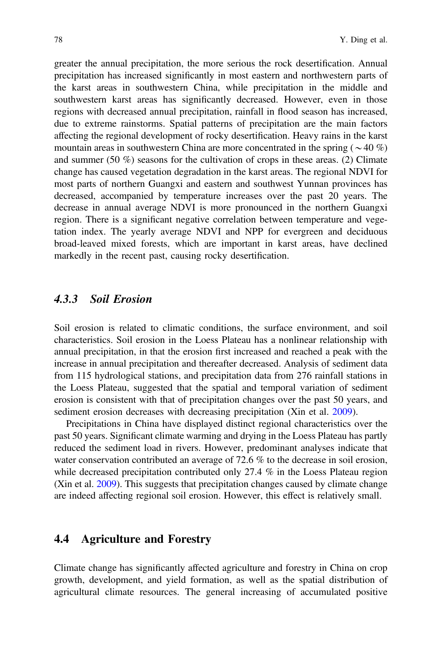greater the annual precipitation, the more serious the rock desertification. Annual precipitation has increased significantly in most eastern and northwestern parts of the karst areas in southwestern China, while precipitation in the middle and southwestern karst areas has significantly decreased. However, even in those regions with decreased annual precipitation, rainfall in flood season has increased, due to extreme rainstorms. Spatial patterns of precipitation are the main factors affecting the regional development of rocky desertification. Heavy rains in the karst mountain areas in southwestern China are more concentrated in the spring ( $\sim$  40 %) and summer (50  $\%$ ) seasons for the cultivation of crops in these areas. (2) Climate change has caused vegetation degradation in the karst areas. The regional NDVI for most parts of northern Guangxi and eastern and southwest Yunnan provinces has decreased, accompanied by temperature increases over the past 20 years. The decrease in annual average NDVI is more pronounced in the northern Guangxi region. There is a significant negative correlation between temperature and vegetation index. The yearly average NDVI and NPP for evergreen and deciduous broad-leaved mixed forests, which are important in karst areas, have declined markedly in the recent past, causing rocky desertification.

### 4.3.3 Soil Erosion

Soil erosion is related to climatic conditions, the surface environment, and soil characteristics. Soil erosion in the Loess Plateau has a nonlinear relationship with annual precipitation, in that the erosion first increased and reached a peak with the increase in annual precipitation and thereafter decreased. Analysis of sediment data from 115 hydrological stations, and precipitation data from 276 rainfall stations in the Loess Plateau, suggested that the spatial and temporal variation of sediment erosion is consistent with that of precipitation changes over the past 50 years, and sediment erosion decreases with decreasing precipitation (Xin et al. [2009\)](#page-23-0).

Precipitations in China have displayed distinct regional characteristics over the past 50 years. Significant climate warming and drying in the Loess Plateau has partly reduced the sediment load in rivers. However, predominant analyses indicate that water conservation contributed an average of 72.6 % to the decrease in soil erosion, while decreased precipitation contributed only 27.4 % in the Loess Plateau region (Xin et al. [2009\)](#page-23-0). This suggests that precipitation changes caused by climate change are indeed affecting regional soil erosion. However, this effect is relatively small.

# 4.4 Agriculture and Forestry

Climate change has significantly affected agriculture and forestry in China on crop growth, development, and yield formation, as well as the spatial distribution of agricultural climate resources. The general increasing of accumulated positive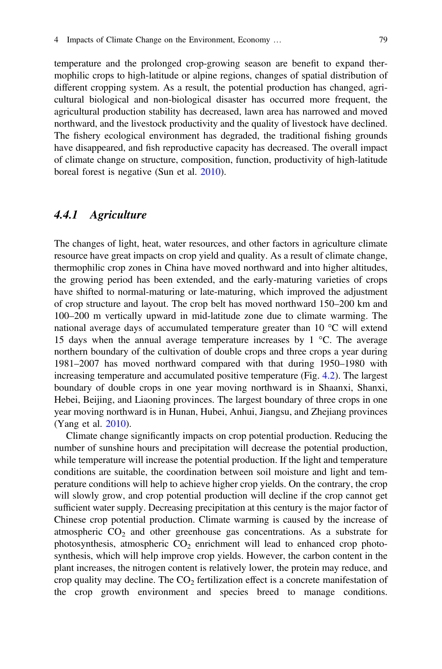temperature and the prolonged crop-growing season are benefit to expand thermophilic crops to high-latitude or alpine regions, changes of spatial distribution of different cropping system. As a result, the potential production has changed, agricultural biological and non-biological disaster has occurred more frequent, the agricultural production stability has decreased, lawn area has narrowed and moved northward, and the livestock productivity and the quality of livestock have declined. The fishery ecological environment has degraded, the traditional fishing grounds have disappeared, and fish reproductive capacity has decreased. The overall impact of climate change on structure, composition, function, productivity of high-latitude boreal forest is negative (Sun et al. [2010](#page-23-0)).

# 4.4.1 Agriculture

The changes of light, heat, water resources, and other factors in agriculture climate resource have great impacts on crop yield and quality. As a result of climate change, thermophilic crop zones in China have moved northward and into higher altitudes, the growing period has been extended, and the early-maturing varieties of crops have shifted to normal-maturing or late-maturing, which improved the adjustment of crop structure and layout. The crop belt has moved northward 150–200 km and 100–200 m vertically upward in mid-latitude zone due to climate warming. The national average days of accumulated temperature greater than 10 °C will extend 15 days when the annual average temperature increases by  $1 \degree C$ . The average northern boundary of the cultivation of double crops and three crops a year during 1981–2007 has moved northward compared with that during 1950–1980 with increasing temperature and accumulated positive temperature (Fig. [4.2](#page-11-0)). The largest boundary of double crops in one year moving northward is in Shaanxi, Shanxi, Hebei, Beijing, and Liaoning provinces. The largest boundary of three crops in one year moving northward is in Hunan, Hubei, Anhui, Jiangsu, and Zhejiang provinces (Yang et al. [2010](#page-23-0)).

Climate change significantly impacts on crop potential production. Reducing the number of sunshine hours and precipitation will decrease the potential production, while temperature will increase the potential production. If the light and temperature conditions are suitable, the coordination between soil moisture and light and temperature conditions will help to achieve higher crop yields. On the contrary, the crop will slowly grow, and crop potential production will decline if the crop cannot get sufficient water supply. Decreasing precipitation at this century is the major factor of Chinese crop potential production. Climate warming is caused by the increase of atmospheric  $CO<sub>2</sub>$  and other greenhouse gas concentrations. As a substrate for photosynthesis, atmospheric  $CO<sub>2</sub>$  enrichment will lead to enhanced crop photosynthesis, which will help improve crop yields. However, the carbon content in the plant increases, the nitrogen content is relatively lower, the protein may reduce, and crop quality may decline. The  $CO<sub>2</sub>$  fertilization effect is a concrete manifestation of the crop growth environment and species breed to manage conditions.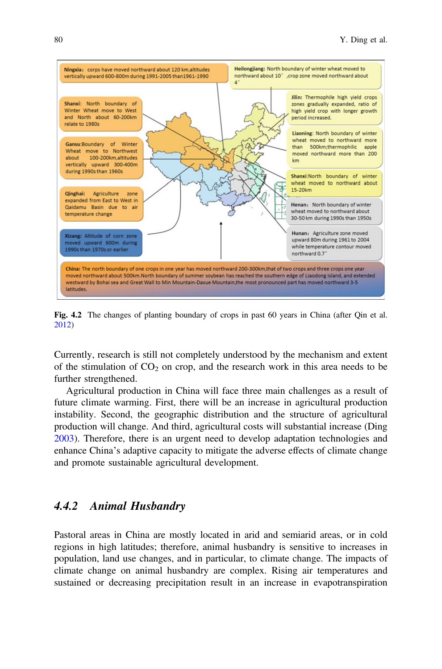<span id="page-11-0"></span>

Fig. 4.2 The changes of planting boundary of crops in past 60 years in China (after Oin et al. [2012\)](#page-23-0)

Currently, research is still not completely understood by the mechanism and extent of the stimulation of  $CO<sub>2</sub>$  on crop, and the research work in this area needs to be further strengthened.

Agricultural production in China will face three main challenges as a result of future climate warming. First, there will be an increase in agricultural production instability. Second, the geographic distribution and the structure of agricultural production will change. And third, agricultural costs will substantial increase (Ding [2003\)](#page-22-0). Therefore, there is an urgent need to develop adaptation technologies and enhance China's adaptive capacity to mitigate the adverse effects of climate change and promote sustainable agricultural development.

# 4.4.2 Animal Husbandry

Pastoral areas in China are mostly located in arid and semiarid areas, or in cold regions in high latitudes; therefore, animal husbandry is sensitive to increases in population, land use changes, and in particular, to climate change. The impacts of climate change on animal husbandry are complex. Rising air temperatures and sustained or decreasing precipitation result in an increase in evapotranspiration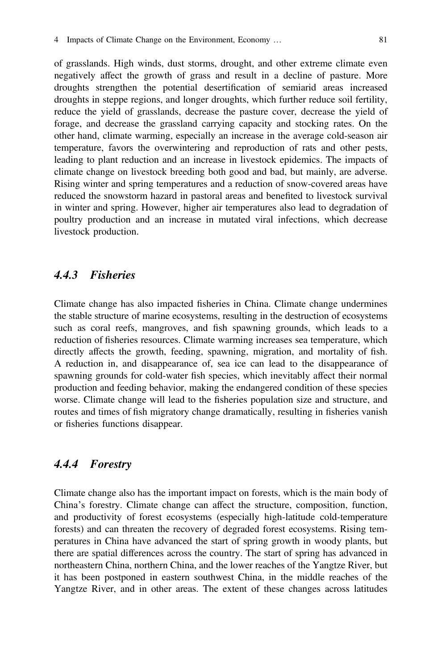of grasslands. High winds, dust storms, drought, and other extreme climate even negatively affect the growth of grass and result in a decline of pasture. More droughts strengthen the potential desertification of semiarid areas increased droughts in steppe regions, and longer droughts, which further reduce soil fertility, reduce the yield of grasslands, decrease the pasture cover, decrease the yield of forage, and decrease the grassland carrying capacity and stocking rates. On the other hand, climate warming, especially an increase in the average cold-season air temperature, favors the overwintering and reproduction of rats and other pests, leading to plant reduction and an increase in livestock epidemics. The impacts of climate change on livestock breeding both good and bad, but mainly, are adverse. Rising winter and spring temperatures and a reduction of snow-covered areas have reduced the snowstorm hazard in pastoral areas and benefited to livestock survival in winter and spring. However, higher air temperatures also lead to degradation of poultry production and an increase in mutated viral infections, which decrease livestock production.

# 4.4.3 Fisheries

Climate change has also impacted fisheries in China. Climate change undermines the stable structure of marine ecosystems, resulting in the destruction of ecosystems such as coral reefs, mangroves, and fish spawning grounds, which leads to a reduction of fisheries resources. Climate warming increases sea temperature, which directly affects the growth, feeding, spawning, migration, and mortality of fish. A reduction in, and disappearance of, sea ice can lead to the disappearance of spawning grounds for cold-water fish species, which inevitably affect their normal production and feeding behavior, making the endangered condition of these species worse. Climate change will lead to the fisheries population size and structure, and routes and times of fish migratory change dramatically, resulting in fisheries vanish or fisheries functions disappear.

# 4.4.4 Forestry

Climate change also has the important impact on forests, which is the main body of China's forestry. Climate change can affect the structure, composition, function, and productivity of forest ecosystems (especially high-latitude cold-temperature forests) and can threaten the recovery of degraded forest ecosystems. Rising temperatures in China have advanced the start of spring growth in woody plants, but there are spatial differences across the country. The start of spring has advanced in northeastern China, northern China, and the lower reaches of the Yangtze River, but it has been postponed in eastern southwest China, in the middle reaches of the Yangtze River, and in other areas. The extent of these changes across latitudes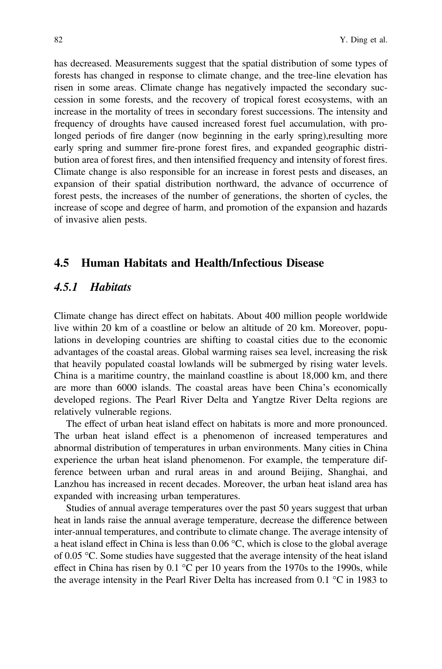has decreased. Measurements suggest that the spatial distribution of some types of forests has changed in response to climate change, and the tree-line elevation has risen in some areas. Climate change has negatively impacted the secondary succession in some forests, and the recovery of tropical forest ecosystems, with an increase in the mortality of trees in secondary forest successions. The intensity and frequency of droughts have caused increased forest fuel accumulation, with prolonged periods of fire danger (now beginning in the early spring),resulting more early spring and summer fire-prone forest fires, and expanded geographic distribution area of forest fires, and then intensified frequency and intensity of forest fires. Climate change is also responsible for an increase in forest pests and diseases, an expansion of their spatial distribution northward, the advance of occurrence of forest pests, the increases of the number of generations, the shorten of cycles, the increase of scope and degree of harm, and promotion of the expansion and hazards of invasive alien pests.

# 4.5 Human Habitats and Health/Infectious Disease

# 4.5.1 Habitats

Climate change has direct effect on habitats. About 400 million people worldwide live within 20 km of a coastline or below an altitude of 20 km. Moreover, populations in developing countries are shifting to coastal cities due to the economic advantages of the coastal areas. Global warming raises sea level, increasing the risk that heavily populated coastal lowlands will be submerged by rising water levels. China is a maritime country, the mainland coastline is about 18,000 km, and there are more than 6000 islands. The coastal areas have been China's economically developed regions. The Pearl River Delta and Yangtze River Delta regions are relatively vulnerable regions.

The effect of urban heat island effect on habitats is more and more pronounced. The urban heat island effect is a phenomenon of increased temperatures and abnormal distribution of temperatures in urban environments. Many cities in China experience the urban heat island phenomenon. For example, the temperature difference between urban and rural areas in and around Beijing, Shanghai, and Lanzhou has increased in recent decades. Moreover, the urban heat island area has expanded with increasing urban temperatures.

Studies of annual average temperatures over the past 50 years suggest that urban heat in lands raise the annual average temperature, decrease the difference between inter-annual temperatures, and contribute to climate change. The average intensity of a heat island effect in China is less than  $0.06 \degree C$ , which is close to the global average of 0.05 °C. Some studies have suggested that the average intensity of the heat island effect in China has risen by  $0.1 \degree C$  per 10 years from the 1970s to the 1990s, while the average intensity in the Pearl River Delta has increased from 0.1 °C in 1983 to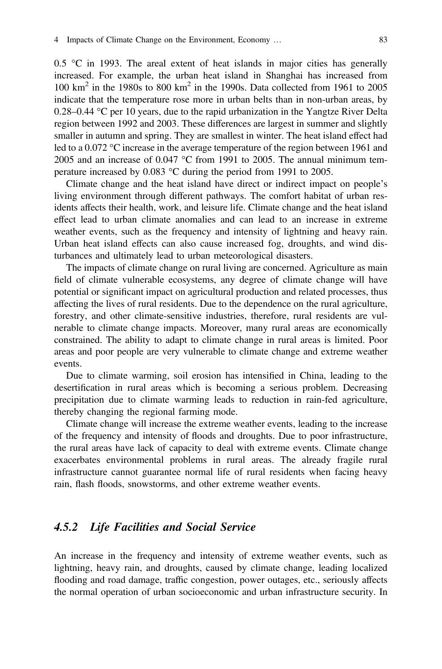0.5 °C in 1993. The areal extent of heat islands in major cities has generally increased. For example, the urban heat island in Shanghai has increased from  $100 \text{ km}^2$  in the 1980s to 800 km<sup>2</sup> in the 1990s. Data collected from 1961 to 2005 indicate that the temperature rose more in urban belts than in non-urban areas, by 0.28–0.44 °C per 10 years, due to the rapid urbanization in the Yangtze River Delta region between 1992 and 2003. These differences are largest in summer and slightly smaller in autumn and spring. They are smallest in winter. The heat island effect had led to a 0.072 °C increase in the average temperature of the region between 1961 and 2005 and an increase of 0.047 °C from 1991 to 2005. The annual minimum temperature increased by 0.083 °C during the period from 1991 to 2005.

Climate change and the heat island have direct or indirect impact on people's living environment through different pathways. The comfort habitat of urban residents affects their health, work, and leisure life. Climate change and the heat island effect lead to urban climate anomalies and can lead to an increase in extreme weather events, such as the frequency and intensity of lightning and heavy rain. Urban heat island effects can also cause increased fog, droughts, and wind disturbances and ultimately lead to urban meteorological disasters.

The impacts of climate change on rural living are concerned. Agriculture as main field of climate vulnerable ecosystems, any degree of climate change will have potential or significant impact on agricultural production and related processes, thus affecting the lives of rural residents. Due to the dependence on the rural agriculture, forestry, and other climate-sensitive industries, therefore, rural residents are vulnerable to climate change impacts. Moreover, many rural areas are economically constrained. The ability to adapt to climate change in rural areas is limited. Poor areas and poor people are very vulnerable to climate change and extreme weather events.

Due to climate warming, soil erosion has intensified in China, leading to the desertification in rural areas which is becoming a serious problem. Decreasing precipitation due to climate warming leads to reduction in rain-fed agriculture, thereby changing the regional farming mode.

Climate change will increase the extreme weather events, leading to the increase of the frequency and intensity of floods and droughts. Due to poor infrastructure, the rural areas have lack of capacity to deal with extreme events. Climate change exacerbates environmental problems in rural areas. The already fragile rural infrastructure cannot guarantee normal life of rural residents when facing heavy rain, flash floods, snowstorms, and other extreme weather events.

### 4.5.2 Life Facilities and Social Service

An increase in the frequency and intensity of extreme weather events, such as lightning, heavy rain, and droughts, caused by climate change, leading localized flooding and road damage, traffic congestion, power outages, etc., seriously affects the normal operation of urban socioeconomic and urban infrastructure security. In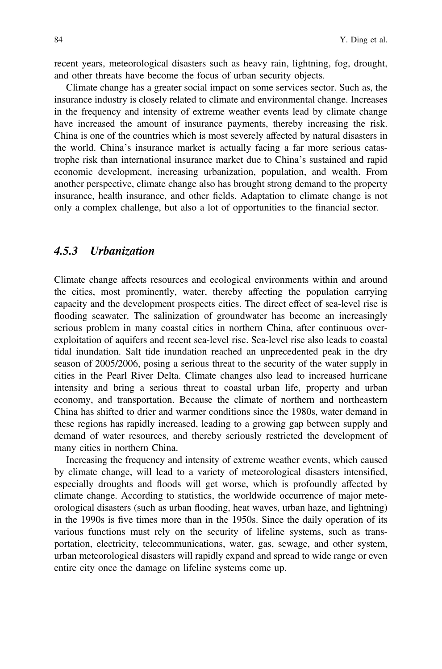recent years, meteorological disasters such as heavy rain, lightning, fog, drought, and other threats have become the focus of urban security objects.

Climate change has a greater social impact on some services sector. Such as, the insurance industry is closely related to climate and environmental change. Increases in the frequency and intensity of extreme weather events lead by climate change have increased the amount of insurance payments, thereby increasing the risk. China is one of the countries which is most severely affected by natural disasters in the world. China's insurance market is actually facing a far more serious catastrophe risk than international insurance market due to China's sustained and rapid economic development, increasing urbanization, population, and wealth. From another perspective, climate change also has brought strong demand to the property insurance, health insurance, and other fields. Adaptation to climate change is not only a complex challenge, but also a lot of opportunities to the financial sector.

### 4.5.3 Urbanization

Climate change affects resources and ecological environments within and around the cities, most prominently, water, thereby affecting the population carrying capacity and the development prospects cities. The direct effect of sea-level rise is flooding seawater. The salinization of groundwater has become an increasingly serious problem in many coastal cities in northern China, after continuous overexploitation of aquifers and recent sea-level rise. Sea-level rise also leads to coastal tidal inundation. Salt tide inundation reached an unprecedented peak in the dry season of 2005/2006, posing a serious threat to the security of the water supply in cities in the Pearl River Delta. Climate changes also lead to increased hurricane intensity and bring a serious threat to coastal urban life, property and urban economy, and transportation. Because the climate of northern and northeastern China has shifted to drier and warmer conditions since the 1980s, water demand in these regions has rapidly increased, leading to a growing gap between supply and demand of water resources, and thereby seriously restricted the development of many cities in northern China.

Increasing the frequency and intensity of extreme weather events, which caused by climate change, will lead to a variety of meteorological disasters intensified, especially droughts and floods will get worse, which is profoundly affected by climate change. According to statistics, the worldwide occurrence of major meteorological disasters (such as urban flooding, heat waves, urban haze, and lightning) in the 1990s is five times more than in the 1950s. Since the daily operation of its various functions must rely on the security of lifeline systems, such as transportation, electricity, telecommunications, water, gas, sewage, and other system, urban meteorological disasters will rapidly expand and spread to wide range or even entire city once the damage on lifeline systems come up.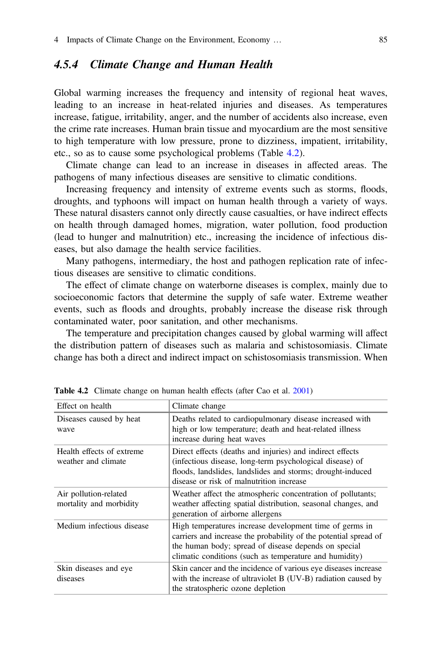# 4.5.4 Climate Change and Human Health

Global warming increases the frequency and intensity of regional heat waves, leading to an increase in heat-related injuries and diseases. As temperatures increase, fatigue, irritability, anger, and the number of accidents also increase, even the crime rate increases. Human brain tissue and myocardium are the most sensitive to high temperature with low pressure, prone to dizziness, impatient, irritability, etc., so as to cause some psychological problems (Table 4.2).

Climate change can lead to an increase in diseases in affected areas. The pathogens of many infectious diseases are sensitive to climatic conditions.

Increasing frequency and intensity of extreme events such as storms, floods, droughts, and typhoons will impact on human health through a variety of ways. These natural disasters cannot only directly cause casualties, or have indirect effects on health through damaged homes, migration, water pollution, food production (lead to hunger and malnutrition) etc., increasing the incidence of infectious diseases, but also damage the health service facilities.

Many pathogens, intermediary, the host and pathogen replication rate of infectious diseases are sensitive to climatic conditions.

The effect of climate change on waterborne diseases is complex, mainly due to socioeconomic factors that determine the supply of safe water. Extreme weather events, such as floods and droughts, probably increase the disease risk through contaminated water, poor sanitation, and other mechanisms.

The temperature and precipitation changes caused by global warming will affect the distribution pattern of diseases such as malaria and schistosomiasis. Climate change has both a direct and indirect impact on schistosomiasis transmission. When

| Effect on health                                 | Climate change                                                                                                                                                                                                                                |  |  |  |
|--------------------------------------------------|-----------------------------------------------------------------------------------------------------------------------------------------------------------------------------------------------------------------------------------------------|--|--|--|
| Diseases caused by heat<br>wave                  | Deaths related to cardiopulmonary disease increased with<br>high or low temperature; death and heat-related illness<br>increase during heat waves                                                                                             |  |  |  |
| Health effects of extreme<br>weather and climate | Direct effects (deaths and injuries) and indirect effects<br>(infectious disease, long-term psychological disease) of<br>floods, landslides, landslides and storms; drought-induced<br>disease or risk of malnutrition increase               |  |  |  |
| Air pollution-related<br>mortality and morbidity | Weather affect the atmospheric concentration of pollutants;<br>weather affecting spatial distribution, seasonal changes, and<br>generation of airborne allergens                                                                              |  |  |  |
| Medium infectious disease                        | High temperatures increase development time of germs in<br>carriers and increase the probability of the potential spread of<br>the human body; spread of disease depends on special<br>climatic conditions (such as temperature and humidity) |  |  |  |
| Skin diseases and eye<br>diseases                | Skin cancer and the incidence of various eye diseases increase<br>with the increase of ultraviolet B (UV-B) radiation caused by<br>the stratospheric ozone depletion                                                                          |  |  |  |

Table 4.2 Climate change on human health effects (after Cao et al. [2001](#page-22-0))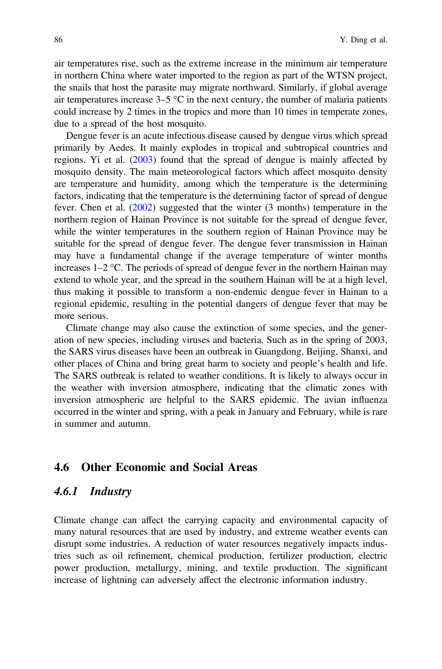air temperatures rise, such as the extreme increase in the minimum air temperature in northern China where water imported to the region as part of the WTSN project, the snails that host the parasite may migrate northward. Similarly, if global average air temperatures increase  $3-5$  °C in the next century, the number of malaria patients could increase by 2 times in the tropics and more than 10 times in temperate zones, due to a spread of the host mosquito.

Dengue fever is an acute infectious disease caused by dengue virus which spread primarily by Aedes. It mainly explodes in tropical and subtropical countries and regions. Yi et al. [\(2003](#page-23-0)) found that the spread of dengue is mainly affected by mosquito density. The main meteorological factors which affect mosquito density are temperature and humidity, among which the temperature is the determining factors, indicating that the temperature is the determining factor of spread of dengue fever. Chen et al. ([2002\)](#page-22-0) suggested that the winter (3 months) temperature in the northern region of Hainan Province is not suitable for the spread of dengue fever, while the winter temperatures in the southern region of Hainan Province may be suitable for the spread of dengue fever. The dengue fever transmission in Hainan may have a fundamental change if the average temperature of winter months increases  $1-2$  °C. The periods of spread of dengue fever in the northern Hainan may extend to whole year, and the spread in the southern Hainan will be at a high level, thus making it possible to transform a non-endemic dengue fever in Hainan to a regional epidemic, resulting in the potential dangers of dengue fever that may be more serious.

Climate change may also cause the extinction of some species, and the generation of new species, including viruses and bacteria. Such as in the spring of 2003, the SARS virus diseases have been an outbreak in Guangdong, Beijing, Shanxi, and other places of China and bring great harm to society and people's health and life. The SARS outbreak is related to weather conditions. It is likely to always occur in the weather with inversion atmosphere, indicating that the climatic zones with inversion atmospheric are helpful to the SARS epidemic. The avian influenza occurred in the winter and spring, with a peak in January and February, while is rare in summer and autumn.

# 4.6 Other Economic and Social Areas

# 4.6.1 Industry

Climate change can affect the carrying capacity and environmental capacity of many natural resources that are used by industry, and extreme weather events can disrupt some industries. A reduction of water resources negatively impacts industries such as oil refinement, chemical production, fertilizer production, electric power production, metallurgy, mining, and textile production. The significant increase of lightning can adversely affect the electronic information industry.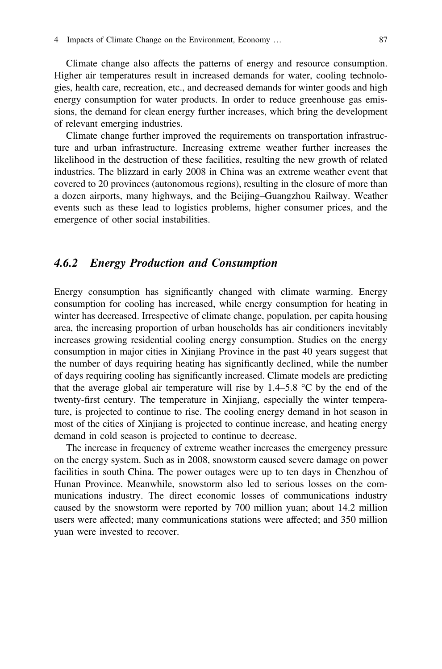Climate change also affects the patterns of energy and resource consumption. Higher air temperatures result in increased demands for water, cooling technologies, health care, recreation, etc., and decreased demands for winter goods and high energy consumption for water products. In order to reduce greenhouse gas emissions, the demand for clean energy further increases, which bring the development of relevant emerging industries.

Climate change further improved the requirements on transportation infrastructure and urban infrastructure. Increasing extreme weather further increases the likelihood in the destruction of these facilities, resulting the new growth of related industries. The blizzard in early 2008 in China was an extreme weather event that covered to 20 provinces (autonomous regions), resulting in the closure of more than a dozen airports, many highways, and the Beijing–Guangzhou Railway. Weather events such as these lead to logistics problems, higher consumer prices, and the emergence of other social instabilities.

#### 4.6.2 Energy Production and Consumption

Energy consumption has significantly changed with climate warming. Energy consumption for cooling has increased, while energy consumption for heating in winter has decreased. Irrespective of climate change, population, per capita housing area, the increasing proportion of urban households has air conditioners inevitably increases growing residential cooling energy consumption. Studies on the energy consumption in major cities in Xinjiang Province in the past 40 years suggest that the number of days requiring heating has significantly declined, while the number of days requiring cooling has significantly increased. Climate models are predicting that the average global air temperature will rise by  $1.4-5.8$  °C by the end of the twenty-first century. The temperature in Xinjiang, especially the winter temperature, is projected to continue to rise. The cooling energy demand in hot season in most of the cities of Xinjiang is projected to continue increase, and heating energy demand in cold season is projected to continue to decrease.

The increase in frequency of extreme weather increases the emergency pressure on the energy system. Such as in 2008, snowstorm caused severe damage on power facilities in south China. The power outages were up to ten days in Chenzhou of Hunan Province. Meanwhile, snowstorm also led to serious losses on the communications industry. The direct economic losses of communications industry caused by the snowstorm were reported by 700 million yuan; about 14.2 million users were affected; many communications stations were affected; and 350 million yuan were invested to recover.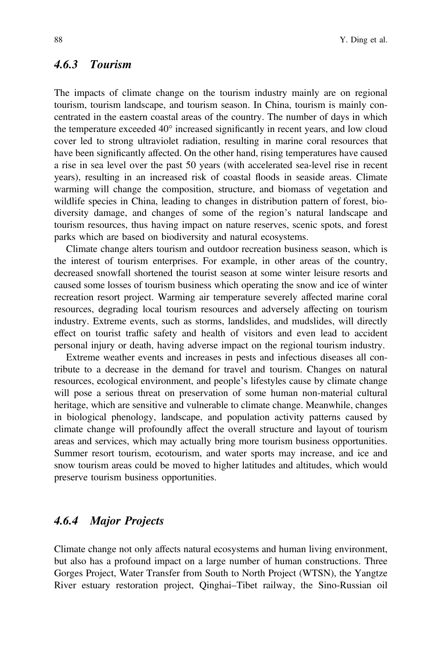# 4.6.3 Tourism

The impacts of climate change on the tourism industry mainly are on regional tourism, tourism landscape, and tourism season. In China, tourism is mainly concentrated in the eastern coastal areas of the country. The number of days in which the temperature exceeded 40° increased significantly in recent years, and low cloud cover led to strong ultraviolet radiation, resulting in marine coral resources that have been significantly affected. On the other hand, rising temperatures have caused a rise in sea level over the past 50 years (with accelerated sea-level rise in recent years), resulting in an increased risk of coastal floods in seaside areas. Climate warming will change the composition, structure, and biomass of vegetation and wildlife species in China, leading to changes in distribution pattern of forest, biodiversity damage, and changes of some of the region's natural landscape and tourism resources, thus having impact on nature reserves, scenic spots, and forest parks which are based on biodiversity and natural ecosystems.

Climate change alters tourism and outdoor recreation business season, which is the interest of tourism enterprises. For example, in other areas of the country, decreased snowfall shortened the tourist season at some winter leisure resorts and caused some losses of tourism business which operating the snow and ice of winter recreation resort project. Warming air temperature severely affected marine coral resources, degrading local tourism resources and adversely affecting on tourism industry. Extreme events, such as storms, landslides, and mudslides, will directly effect on tourist traffic safety and health of visitors and even lead to accident personal injury or death, having adverse impact on the regional tourism industry.

Extreme weather events and increases in pests and infectious diseases all contribute to a decrease in the demand for travel and tourism. Changes on natural resources, ecological environment, and people's lifestyles cause by climate change will pose a serious threat on preservation of some human non-material cultural heritage, which are sensitive and vulnerable to climate change. Meanwhile, changes in biological phenology, landscape, and population activity patterns caused by climate change will profoundly affect the overall structure and layout of tourism areas and services, which may actually bring more tourism business opportunities. Summer resort tourism, ecotourism, and water sports may increase, and ice and snow tourism areas could be moved to higher latitudes and altitudes, which would preserve tourism business opportunities.

# 4.6.4 Major Projects

Climate change not only affects natural ecosystems and human living environment, but also has a profound impact on a large number of human constructions. Three Gorges Project, Water Transfer from South to North Project (WTSN), the Yangtze River estuary restoration project, Qinghai–Tibet railway, the Sino-Russian oil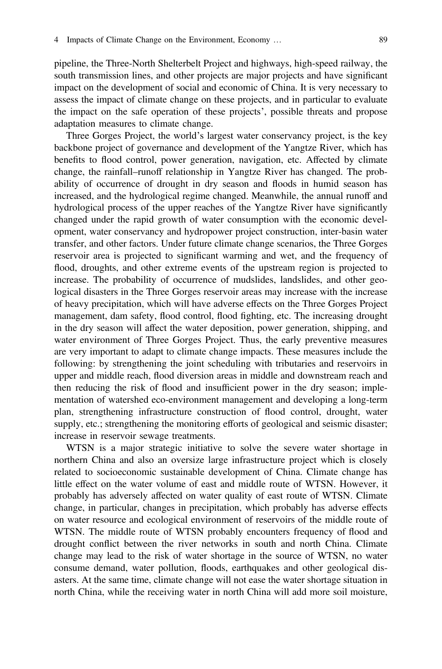pipeline, the Three-North Shelterbelt Project and highways, high-speed railway, the south transmission lines, and other projects are major projects and have significant impact on the development of social and economic of China. It is very necessary to assess the impact of climate change on these projects, and in particular to evaluate the impact on the safe operation of these projects', possible threats and propose adaptation measures to climate change.

Three Gorges Project, the world's largest water conservancy project, is the key backbone project of governance and development of the Yangtze River, which has benefits to flood control, power generation, navigation, etc. Affected by climate change, the rainfall–runoff relationship in Yangtze River has changed. The probability of occurrence of drought in dry season and floods in humid season has increased, and the hydrological regime changed. Meanwhile, the annual runoff and hydrological process of the upper reaches of the Yangtze River have significantly changed under the rapid growth of water consumption with the economic development, water conservancy and hydropower project construction, inter-basin water transfer, and other factors. Under future climate change scenarios, the Three Gorges reservoir area is projected to significant warming and wet, and the frequency of flood, droughts, and other extreme events of the upstream region is projected to increase. The probability of occurrence of mudslides, landslides, and other geological disasters in the Three Gorges reservoir areas may increase with the increase of heavy precipitation, which will have adverse effects on the Three Gorges Project management, dam safety, flood control, flood fighting, etc. The increasing drought in the dry season will affect the water deposition, power generation, shipping, and water environment of Three Gorges Project. Thus, the early preventive measures are very important to adapt to climate change impacts. These measures include the following: by strengthening the joint scheduling with tributaries and reservoirs in upper and middle reach, flood diversion areas in middle and downstream reach and then reducing the risk of flood and insufficient power in the dry season; implementation of watershed eco-environment management and developing a long-term plan, strengthening infrastructure construction of flood control, drought, water supply, etc.; strengthening the monitoring efforts of geological and seismic disaster; increase in reservoir sewage treatments.

WTSN is a major strategic initiative to solve the severe water shortage in northern China and also an oversize large infrastructure project which is closely related to socioeconomic sustainable development of China. Climate change has little effect on the water volume of east and middle route of WTSN. However, it probably has adversely affected on water quality of east route of WTSN. Climate change, in particular, changes in precipitation, which probably has adverse effects on water resource and ecological environment of reservoirs of the middle route of WTSN. The middle route of WTSN probably encounters frequency of flood and drought conflict between the river networks in south and north China. Climate change may lead to the risk of water shortage in the source of WTSN, no water consume demand, water pollution, floods, earthquakes and other geological disasters. At the same time, climate change will not ease the water shortage situation in north China, while the receiving water in north China will add more soil moisture,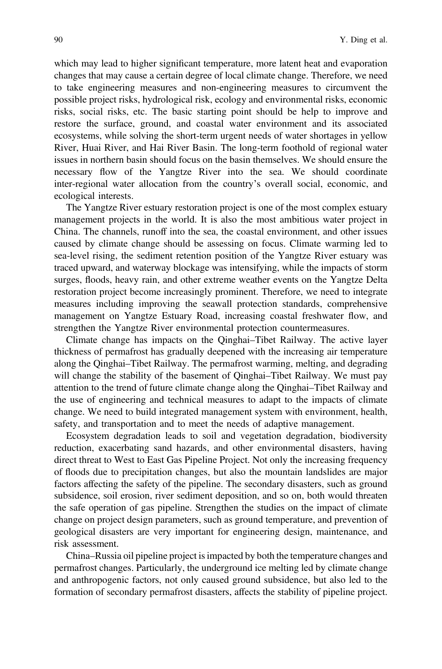which may lead to higher significant temperature, more latent heat and evaporation changes that may cause a certain degree of local climate change. Therefore, we need to take engineering measures and non-engineering measures to circumvent the possible project risks, hydrological risk, ecology and environmental risks, economic risks, social risks, etc. The basic starting point should be help to improve and restore the surface, ground, and coastal water environment and its associated ecosystems, while solving the short-term urgent needs of water shortages in yellow River, Huai River, and Hai River Basin. The long-term foothold of regional water issues in northern basin should focus on the basin themselves. We should ensure the necessary flow of the Yangtze River into the sea. We should coordinate inter-regional water allocation from the country's overall social, economic, and ecological interests.

The Yangtze River estuary restoration project is one of the most complex estuary management projects in the world. It is also the most ambitious water project in China. The channels, runoff into the sea, the coastal environment, and other issues caused by climate change should be assessing on focus. Climate warming led to sea-level rising, the sediment retention position of the Yangtze River estuary was traced upward, and waterway blockage was intensifying, while the impacts of storm surges, floods, heavy rain, and other extreme weather events on the Yangtze Delta restoration project become increasingly prominent. Therefore, we need to integrate measures including improving the seawall protection standards, comprehensive management on Yangtze Estuary Road, increasing coastal freshwater flow, and strengthen the Yangtze River environmental protection countermeasures.

Climate change has impacts on the Qinghai–Tibet Railway. The active layer thickness of permafrost has gradually deepened with the increasing air temperature along the Qinghai–Tibet Railway. The permafrost warming, melting, and degrading will change the stability of the basement of Qinghai–Tibet Railway. We must pay attention to the trend of future climate change along the Qinghai–Tibet Railway and the use of engineering and technical measures to adapt to the impacts of climate change. We need to build integrated management system with environment, health, safety, and transportation and to meet the needs of adaptive management.

Ecosystem degradation leads to soil and vegetation degradation, biodiversity reduction, exacerbating sand hazards, and other environmental disasters, having direct threat to West to East Gas Pipeline Project. Not only the increasing frequency of floods due to precipitation changes, but also the mountain landslides are major factors affecting the safety of the pipeline. The secondary disasters, such as ground subsidence, soil erosion, river sediment deposition, and so on, both would threaten the safe operation of gas pipeline. Strengthen the studies on the impact of climate change on project design parameters, such as ground temperature, and prevention of geological disasters are very important for engineering design, maintenance, and risk assessment.

China–Russia oil pipeline project is impacted by both the temperature changes and permafrost changes. Particularly, the underground ice melting led by climate change and anthropogenic factors, not only caused ground subsidence, but also led to the formation of secondary permafrost disasters, affects the stability of pipeline project.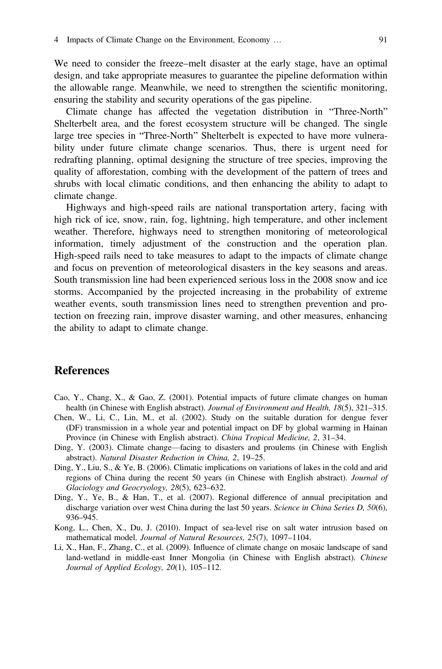<span id="page-22-0"></span>We need to consider the freeze–melt disaster at the early stage, have an optimal design, and take appropriate measures to guarantee the pipeline deformation within the allowable range. Meanwhile, we need to strengthen the scientific monitoring, ensuring the stability and security operations of the gas pipeline.

Climate change has affected the vegetation distribution in "Three-North" Shelterbelt area, and the forest ecosystem structure will be changed. The single large tree species in "Three-North" Shelterbelt is expected to have more vulnerability under future climate change scenarios. Thus, there is urgent need for redrafting planning, optimal designing the structure of tree species, improving the quality of afforestation, combing with the development of the pattern of trees and shrubs with local climatic conditions, and then enhancing the ability to adapt to climate change.

Highways and high-speed rails are national transportation artery, facing with high rick of ice, snow, rain, fog, lightning, high temperature, and other inclement weather. Therefore, highways need to strengthen monitoring of meteorological information, timely adjustment of the construction and the operation plan. High-speed rails need to take measures to adapt to the impacts of climate change and focus on prevention of meteorological disasters in the key seasons and areas. South transmission line had been experienced serious loss in the 2008 snow and ice storms. Accompanied by the projected increasing in the probability of extreme weather events, south transmission lines need to strengthen prevention and protection on freezing rain, improve disaster warning, and other measures, enhancing the ability to adapt to climate change.

## References

- Cao, Y., Chang, X., & Gao, Z. (2001). Potential impacts of future climate changes on human health (in Chinese with English abstract). Journal of Environment and Health, 18(5), 321-315.
- Chen, W., Li, C., Lin, M., et al. (2002). Study on the suitable duration for dengue fever (DF) transmission in a whole year and potential impact on DF by global warming in Hainan Province (in Chinese with English abstract). China Tropical Medicine, 2, 31–34.
- Ding, Y. (2003). Climate change—facing to disasters and proulems (in Chinese with English abstract). Natural Disaster Reduction in China, 2, 19–25.
- Ding, Y., Liu, S., & Ye, B. (2006). Climatic implications on variations of lakes in the cold and arid regions of China during the recent 50 years (in Chinese with English abstract). Journal of Glaciology and Geocryology, 28(5), 623–632.
- Ding, Y., Ye, B., & Han, T., et al. (2007). Regional difference of annual precipitation and discharge variation over west China during the last 50 years. Science in China Series D, 50(6), 936–945.
- Kong, L., Chen, X., Du, J. (2010). Impact of sea-level rise on salt water intrusion based on mathematical model. Journal of Natural Resources, 25(7), 1097–1104.
- Li, X., Han, F., Zhang, C., et al. (2009). Influence of climate change on mosaic landscape of sand land-wetland in middle-east Inner Mongolia (in Chinese with English abstract). Chinese Journal of Applied Ecology, 20(1), 105–112.